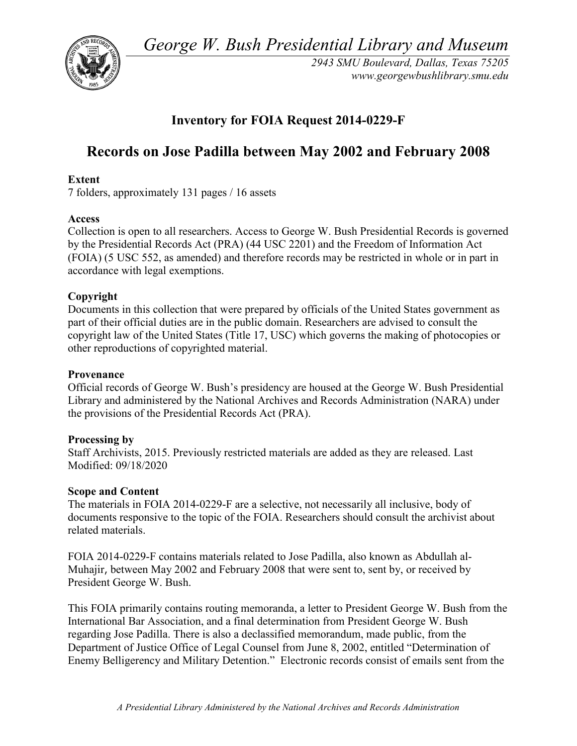*George W. Bush Presidential Library and Museum* 



 *2943 SMU Boulevard, Dallas, Texas 75205 <www.georgewbushlibrary.smu.edu>*

# **Inventory for FOIA Request 2014-0229-F**

# **Records on Jose Padilla between May 2002 and February 2008**

# **Extent**

7 folders, approximately 131 pages / 16 assets

# **Access**

 by the Presidential Records Act (PRA) (44 USC 2201) and the Freedom of Information Act Collection is open to all researchers. Access to George W. Bush Presidential Records is governed (FOIA) (5 USC 552, as amended) and therefore records may be restricted in whole or in part in accordance with legal exemptions.

# **Copyright**

 Documents in this collection that were prepared by officials of the United States government as part of their official duties are in the public domain. Researchers are advised to consult the copyright law of the United States (Title 17, USC) which governs the making of photocopies or other reproductions of copyrighted material.

#### **Provenance**

 Official records of George W. Bush's presidency are housed at the George W. Bush Presidential Library and administered by the National Archives and Records Administration (NARA) under the provisions of the Presidential Records Act (PRA).

# **Processing by**

 Staff Archivists, 2015. Previously restricted materials are added as they are released. Last Modified: 09/18/2020

# **Scope and Content**

The materials in FOIA 2014-0229-F are a selective, not necessarily all inclusive, body of documents responsive to the topic of the FOIA. Researchers should consult the archivist about related materials.

 Muhajir, between May 2002 and February 2008 that were sent to, sent by, or received by FOIA 2014-0229-F contains materials related to Jose Padilla, also known as Abdullah al-President George W. Bush.

 This FOIA primarily contains routing memoranda, a letter to President George W. Bush from the International Bar Association, and a final determination from President George W. Bush Enemy Belligerency and Military Detention." Electronic records consist of emails sent from the regarding Jose Padilla. There is also a declassified memorandum, made public, from the Department of Justice Office of Legal Counsel from June 8, 2002, entitled "Determination of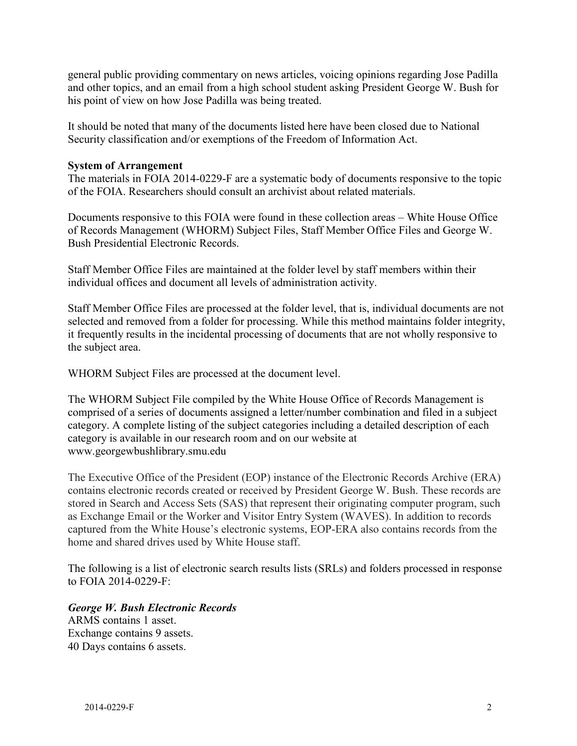general public providing commentary on news articles, voicing opinions regarding Jose Padilla and other topics, and an email from a high school student asking President George W. Bush for his point of view on how Jose Padilla was being treated.

 It should be noted that many of the documents listed here have been closed due to National Security classification and/or exemptions of the Freedom of Information Act.

#### **System of Arrangement**

of the FOIA. Researchers should consult an archivist about related materials. The materials in FOIA 2014-0229-F are a systematic body of documents responsive to the topic

Documents responsive to this FOIA were found in these collection areas – White House Office of Records Management (WHORM) Subject Files, Staff Member Office Files and George W. Bush Presidential Electronic Records.

Staff Member Office Files are maintained at the folder level by staff members within their individual offices and document all levels of administration activity.

Staff Member Office Files are processed at the folder level, that is, individual documents are not selected and removed from a folder for processing. While this method maintains folder integrity, it frequently results in the incidental processing of documents that are not wholly responsive to the subject area.

WHORM Subject Files are processed at the document level.

The WHORM Subject File compiled by the White House Office of Records Management is comprised of a series of documents assigned a letter/number combination and filed in a subject category. A complete listing of the subject categories including a detailed description of each category is available in our research room and on our website at <www.georgewbushlibrary.smu.edu>

 The Executive Office of the President (EOP) instance of the Electronic Records Archive (ERA) contains electronic records created or received by President George W. Bush. These records are stored in Search and Access Sets (SAS) that represent their originating computer program, such as Exchange Email or the Worker and Visitor Entry System (WAVES). In addition to records captured from the White House's electronic systems, EOP-ERA also contains records from the home and shared drives used by White House staff.

 The following is a list of electronic search results lists (SRLs) and folders processed in response to FOIA 2014-0229-F:

#### ARMS contains 1 asset. *George W. Bush Electronic Records*

Exchange contains 9 assets. 40 Days contains 6 assets.